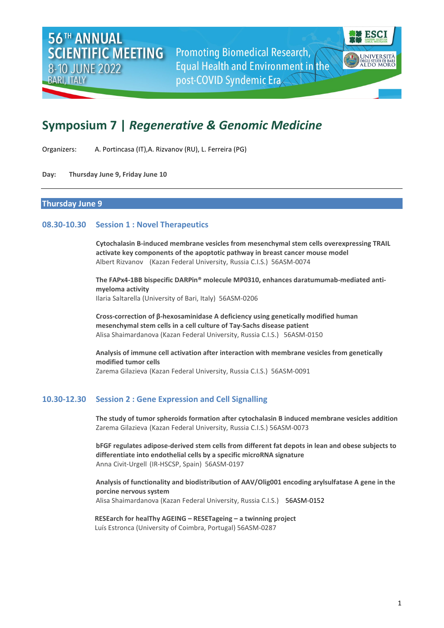**Promoting Biomedical Research, Equal Health and Environment in the** post-COVID Syndemic Era



# **Symposium 7 |** *Regenerative & Genomic Medicine*

Organizers: A. Portincasa (IT),A. Rizvanov (RU), L. Ferreira (PG)

#### **Day: Thursday June 9, Friday June 10**

## **Thursday June 9**

## **08.30-10.30 Session 1 : Novel Therapeutics**

**Cytochalasin B-induced membrane vesicles from mesenchymal stem cells overexpressing TRAIL activate key components of the apoptotic pathway in breast cancer mouse model** Albert Rizvanov (Kazan Federal University, Russia C.I.S.) 56ASM-0074

**The FAPx4-1BB bispecific DARPin® molecule MP0310, enhances daratumumab-mediated antimyeloma activity** Ilaria Saltarella (University of Bari, Italy) 56ASM-0206

**Cross-correction of β-hexosaminidase A deficiency using genetically modified human mesenchymal stem cells in a cell culture of Tay-Sachs disease patient** Alisa Shaimardanova (Kazan Federal University, Russia C.I.S.) 56ASM-0150

**Analysis of immune cell activation after interaction with membrane vesicles from genetically modified tumor cells** Zarema Gilazieva (Kazan Federal University, Russia C.I.S.) 56ASM-0091

## **10.30-12.30 Session 2 : Gene Expression and Cell Signalling**

**The study of tumor spheroids formation after cytochalasin B induced membrane vesicles addition** Zarema Gilazieva (Kazan Federal University, Russia C.I.S.) 56ASM-0073

**bFGF regulates adipose-derived stem cells from different fat depots in lean and obese subjects to differentiate into endothelial cells by a specific microRNA signature** Anna Civit-Urgell (IR-HSCSP, Spain) 56ASM-0197

**Analysis of functionality and biodistribution of AAV/Olig001 encoding arylsulfatase A gene in the porcine nervous system** Alisa Shaimardanova (Kazan Federal University, Russia C.I.S.) 56ASM-0152

**RESEarch for healThy AGEING – RESETageing – a twinning project** Luís Estronca (University of Coimbra, Portugal) 56ASM-0287